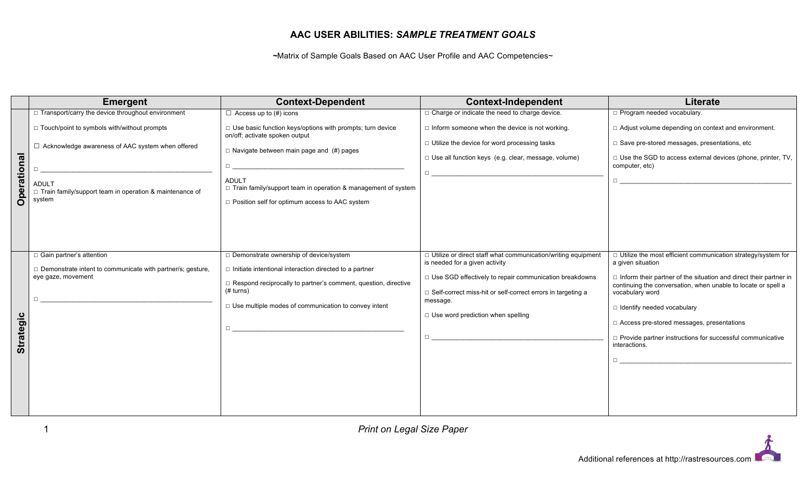## **AAC USER ABILITIES:** *SAMPLE TREATMENT GOALS*

*~*Matrix of Sample Goals Based on AAC User Profile and AAC Competencies~

|                    | <b>Emergent</b>                                                                                                                                                                                                                                                  | <b>Context-Dependent</b>                                                                                                                                                                                                                                                                                                                | <b>Context-Independent</b>                                                                                                                                                                                                                                                                                                                                                                                                                                                                                               | <b>Literate</b>                                                                                                                                                                                                                                                                                                                                                                                                                                                                                                                                                                                                                                                      |
|--------------------|------------------------------------------------------------------------------------------------------------------------------------------------------------------------------------------------------------------------------------------------------------------|-----------------------------------------------------------------------------------------------------------------------------------------------------------------------------------------------------------------------------------------------------------------------------------------------------------------------------------------|--------------------------------------------------------------------------------------------------------------------------------------------------------------------------------------------------------------------------------------------------------------------------------------------------------------------------------------------------------------------------------------------------------------------------------------------------------------------------------------------------------------------------|----------------------------------------------------------------------------------------------------------------------------------------------------------------------------------------------------------------------------------------------------------------------------------------------------------------------------------------------------------------------------------------------------------------------------------------------------------------------------------------------------------------------------------------------------------------------------------------------------------------------------------------------------------------------|
| <b>Operational</b> | □ Transport/carry the device throughout environment<br>□ Touch/point to symbols with/without prompts<br>□ Acknowledge awareness of AAC system when offered<br>$\Box$<br><b>ADULT</b><br>$\Box$ Train family/support team in operation & maintenance of<br>system | $\Box$ Access up to (#) icons<br>$\Box$ Use basic function keys/options with prompts; turn device<br>on/off; activate spoken output<br>$\Box$ Navigate between main page and (#) pages<br>$\Box$<br><b>ADULT</b><br>□ Train family/support team in operation & management of system<br>□ Position self for optimum access to AAC system | $\Box$ Charge or indicate the need to charge device.<br>$\Box$ Inform someone when the device is not working.<br>$\Box$ Utilize the device for word processing tasks<br>□ Use all function keys (e.g. clear, message, volume)                                                                                                                                                                                                                                                                                            | □ Program needed vocabulary.<br>□ Adjust volume depending on context and environment.<br>□ Save pre-stored messages, presentations, etc<br>$\Box$ Use the SGD to access external devices (phone, printer, TV,<br>computer, etc)<br>$\Box$ . The contract of the contract of the contract of the contract of the contract of the contract of the contract of the contract of the contract of the contract of the contract of the contract of the contract of the co                                                                                                                                                                                                   |
| <b>Strategic</b>   | $\Box$ Gain partner's attention<br>Demonstrate intent to communicate with partner/s; gesture,<br>eye gaze, movement<br>$\Box$                                                                                                                                    | □ Demonstrate ownership of device/system<br>$\Box$ Initiate intentional interaction directed to a partner<br>$\Box$ Respond reciprocally to partner's comment, question, directive<br>(# turns)<br>$\Box$ Use multiple modes of communication to convey intent<br>П.                                                                    | □ Utilize or direct staff what communication/writing equipment<br>is needed for a given activity<br>□ Use SGD effectively to repair communication breakdowns<br>□ Self-correct miss-hit or self-correct errors in targeting a<br>message.<br>$\Box$ Use word prediction when spelling<br>$\Box$ and the set of the set of the set of the set of the set of the set of the set of the set of the set of the set of the set of the set of the set of the set of the set of the set of the set of the set of the set of the | $\Box$ Utilize the most efficient communication strategy/system for<br>a given situation<br>$\Box$ Inform their partner of the situation and direct their partner in<br>continuing the conversation, when unable to locate or spell a<br>vocabulary word<br>$\Box$ Identify needed vocabulary<br>$\Box$ Access pre-stored messages, presentations<br>□ Provide partner instructions for successful communicative<br>interactions.<br>$\Box$ and the set of the set of the set of the set of the set of the set of the set of the set of the set of the set of the set of the set of the set of the set of the set of the set of the set of the set of the set of the |